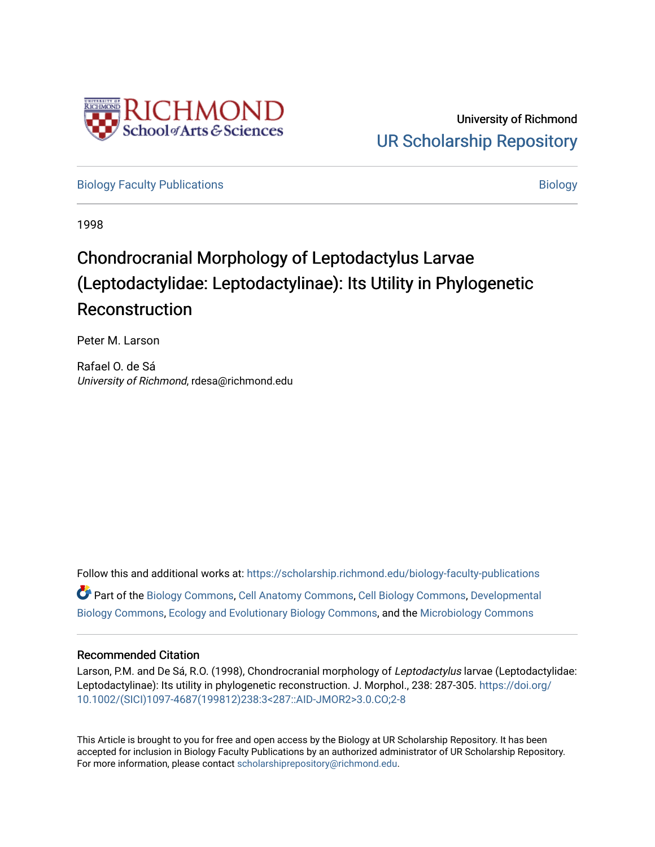

[Biology Faculty Publications](https://scholarship.richmond.edu/biology-faculty-publications) and the state of the state of the [Biology](https://scholarship.richmond.edu/biology) Biology

1998

# Chondrocranial Morphology of Leptodactylus Larvae (Leptodactylidae: Leptodactylinae): Its Utility in Phylogenetic Reconstruction

Peter M. Larson

Rafael O. de Sá University of Richmond, rdesa@richmond.edu

Follow this and additional works at: [https://scholarship.richmond.edu/biology-faculty-publications](https://scholarship.richmond.edu/biology-faculty-publications?utm_source=scholarship.richmond.edu%2Fbiology-faculty-publications%2F280&utm_medium=PDF&utm_campaign=PDFCoverPages)  Part of the [Biology Commons,](http://network.bepress.com/hgg/discipline/41?utm_source=scholarship.richmond.edu%2Fbiology-faculty-publications%2F280&utm_medium=PDF&utm_campaign=PDFCoverPages) [Cell Anatomy Commons,](http://network.bepress.com/hgg/discipline/9?utm_source=scholarship.richmond.edu%2Fbiology-faculty-publications%2F280&utm_medium=PDF&utm_campaign=PDFCoverPages) [Cell Biology Commons,](http://network.bepress.com/hgg/discipline/10?utm_source=scholarship.richmond.edu%2Fbiology-faculty-publications%2F280&utm_medium=PDF&utm_campaign=PDFCoverPages) [Developmental](http://network.bepress.com/hgg/discipline/11?utm_source=scholarship.richmond.edu%2Fbiology-faculty-publications%2F280&utm_medium=PDF&utm_campaign=PDFCoverPages) [Biology Commons](http://network.bepress.com/hgg/discipline/11?utm_source=scholarship.richmond.edu%2Fbiology-faculty-publications%2F280&utm_medium=PDF&utm_campaign=PDFCoverPages), [Ecology and Evolutionary Biology Commons,](http://network.bepress.com/hgg/discipline/14?utm_source=scholarship.richmond.edu%2Fbiology-faculty-publications%2F280&utm_medium=PDF&utm_campaign=PDFCoverPages) and the [Microbiology Commons](http://network.bepress.com/hgg/discipline/48?utm_source=scholarship.richmond.edu%2Fbiology-faculty-publications%2F280&utm_medium=PDF&utm_campaign=PDFCoverPages)

## Recommended Citation

Larson, P.M. and De Sá, R.O. (1998), Chondrocranial morphology of Leptodactylus larvae (Leptodactylidae: Leptodactylinae): Its utility in phylogenetic reconstruction. J. Morphol., 238: 287-305. [https://doi.org/](https://doi.org/10.1002/(SICI)1097-4687(199812)238:3%3C287::AID-JMOR2%3E3.0.CO;2-8) [10.1002/\(SICI\)1097-4687\(199812\)238:3<287::AID-JMOR2>3.0.CO;2-8](https://doi.org/10.1002/(SICI)1097-4687(199812)238:3%3C287::AID-JMOR2%3E3.0.CO;2-8) 

This Article is brought to you for free and open access by the Biology at UR Scholarship Repository. It has been accepted for inclusion in Biology Faculty Publications by an authorized administrator of UR Scholarship Repository. For more information, please contact [scholarshiprepository@richmond.edu](mailto:scholarshiprepository@richmond.edu).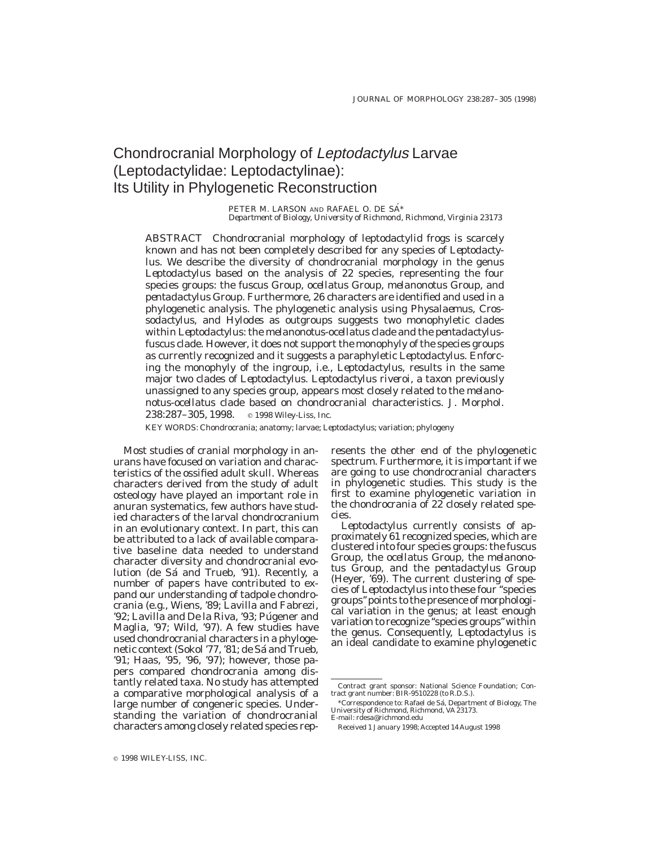# Chondrocranial Morphology of Leptodactylus Larvae (Leptodactylidae: Leptodactylinae): Its Utility in Phylogenetic Reconstruction

PETER M. LARSON AND RAFAEL O. DE SÁ\* *Department of Biology, University of Richmond, Richmond, Virginia 23173*

*ABSTRACT* Chondrocranial morphology of leptodactylid frogs is scarcely known and has not been completely described for any species of *Leptodactylus.* We describe the diversity of chondrocranial morphology in the genus *Leptodactylus* based on the analysis of 22 species, representing the four species groups: the *fuscus* Group, *ocellatus* Group, *melanonotus* Group, and *pentadactylus* Group. Furthermore, 26 characters are identified and used in a phylogenetic analysis. The phylogenetic analysis using *Physalaemus, Crossodactylus,* and *Hylodes* as outgroups suggests two monophyletic clades within *Leptodactylus:* the *melanonotus-ocellatus* clade and the *pentadactylusfuscus* clade. However, it does not support the monophyly of the species groups as currently recognized and it suggests a paraphyletic *Leptodactylus.* Enforcing the monophyly of the ingroup, i.e., *Leptodactylus,* results in the same major two clades of *Leptodactylus. Leptodactylus riveroi,* a taxon previously unassigned to any species group, appears most closely related to the *melanonotus-ocellatus* clade based on chondrocranial characteristics. J. Morphol. 238:287-305, 1998. **c** 1998 Wiley-Liss, Inc.

KEY WORDS: Chondrocrania; anatomy; larvae; *Leptodactylus;* variation; phylogeny

Most studies of cranial morphology in anurans have focused on variation and characteristics of the ossified adult skull. Whereas characters derived from the study of adult osteology have played an important role in anuran systematics, few authors have studied characters of the larval chondrocranium in an evolutionary context. In part, this can be attributed to a lack of available comparative baseline data needed to understand character diversity and chondrocranial evolution (de Sá and Trueb, '91). Recently, a number of papers have contributed to expand our understanding of tadpole chondrocrania (e.g., Wiens, '89; Lavilla and Fabrezi, '92; Lavilla and De la Riva, '93; Púgener and Maglia, '97; Wild, '97). A few studies have used chondrocranial characters in a phylogenetic context (Sokol '77, '81; de Sá and Trueb, '91; Haas, '95, '96, '97); however, those papers compared chondrocrania among distantly related taxa. No study has attempted a comparative morphological analysis of a large number of congeneric species. Understanding the variation of chondrocranial characters among closely related species represents the other end of the phylogenetic spectrum. Furthermore, it is important if we are going to use chondrocranial characters in phylogenetic studies. This study is the first to examine phylogenetic variation in the chondrocrania of 22 closely related species.

*Leptodactylus* currently consists of approximately 61 recognized species, which are clustered into four species groups: the *fuscus* Group, the *ocellatus* Group, the *melanonotus* Group, and the *pentadactylus* Group (Heyer, '69). The current clustering of species of *Leptodactylus* into these four ''species groups'' points to the presence of morphological variation in the genus; at least enough variation to recognize ''species groups''within the genus. Consequently, *Leptodactylus* is an ideal candidate to examine phylogenetic

Contract grant sponsor: National Science Foundation; Contract grant number: BIR-9510228 (to R.D.S.).

<sup>\*</sup>Correspondence to: Rafael de Sa´, Department of Biology, The University of Richmond, Richmond, VA 23173. E-mail: rdesa@richmond.edu

Received 1 January 1998; Accepted 14 August 1998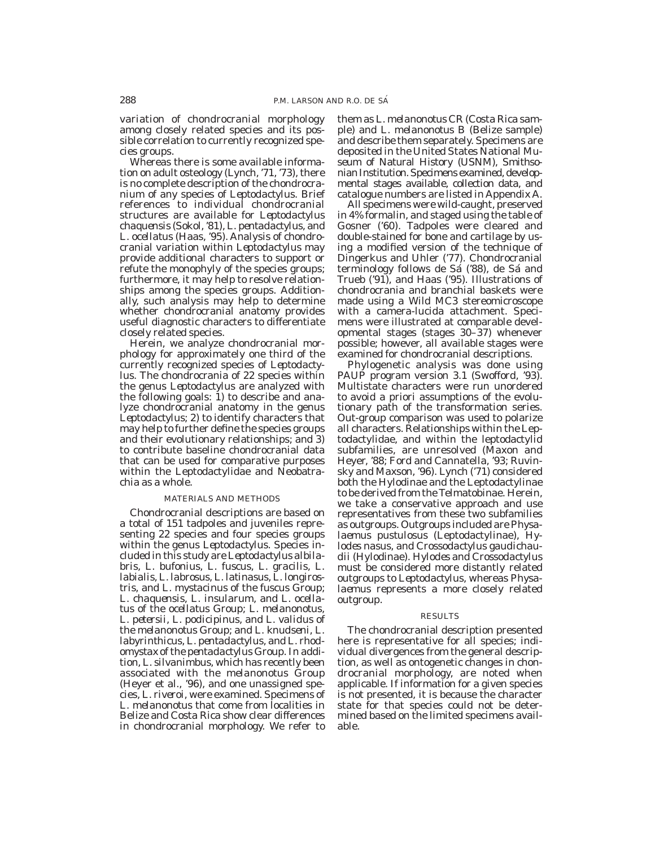variation of chondrocranial morphology among closely related species and its possible correlation to currently recognized species groups.

Whereas there is some available information on adult osteology (Lynch, '71, '73), there is no complete description of the chondrocranium of any species of *Leptodactylus.* Brief references to individual chondrocranial structures are available for *Leptodactylus chaquensis* (Sokol, '81), *L. pentadactylus,* and *L. ocellatus* (Haas, '95). Analysis of chondrocranial variation within *Leptodactylus* may provide additional characters to support or refute the monophyly of the species groups; furthermore, it may help to resolve relationships among the species groups. Additionally, such analysis may help to determine whether chondrocranial anatomy provides useful diagnostic characters to differentiate closely related species.

Herein, we analyze chondrocranial morphology for approximately one third of the currently recognized species of *Leptodactylus.* The chondrocrania of 22 species within the genus *Leptodactylus* are analyzed with the following goals: 1) to describe and analyze chondrocranial anatomy in the genus *Leptodactylus;* 2) to identify characters that may help to further define the species groups and their evolutionary relationships; and 3) to contribute baseline chondrocranial data that can be used for comparative purposes within the Leptodactylidae and Neobatrachia as a whole.

#### MATERIALS AND METHODS

Chondrocranial descriptions are based on a total of 151 tadpoles and juveniles representing 22 species and four species groups within the genus *Leptodactylus.* Species included in this study are *Leptodactylus albilabris, L. bufonius, L. fuscus, L. gracilis, L. labialis, L. labrosus, L. latinasus, L. longirostris,* and *L. mystacinus* of the *fuscus* Group; *L. chaquensis, L. insularum,* and *L. ocellatus* of the *ocellatus* Group; *L. melanonotus, L. petersii, L. podicipinus,* and *L. validus* of the *melanonotus* Group; and *L. knudseni, L. labyrinthicus, L. pentadactylus,* and *L. rhodomystax* of the *pentadactylus* Group. In addition, *L. silvanimbus,* which has recently been associated with the *melanonotus* Group (Heyer et al., '96), and one unassigned species, *L. riveroi,* were examined. Specimens of *L. melanonotus* that come from localities in Belize and Costa Rica show clear differences in chondrocranial morphology. We refer to

them as *L. melanonotus* CR (Costa Rica sample) and *L. melanonotus* B (Belize sample) and describe them separately. Specimens are deposited in the United States National Museum of Natural History (USNM), Smithsonian Institution. Specimens examined, developmental stages available, collection data, and catalogue numbers are listed in Appendix A.

All specimens were wild-caught, preserved in 4% formalin, and staged using the table of Gosner ('60). Tadpoles were cleared and double-stained for bone and cartilage by using a modified version of the technique of Dingerkus and Uhler ('77). Chondrocranial terminology follows de Sá ('88), de Sá and Trueb ('91), and Haas ('95). Illustrations of chondrocrania and branchial baskets were made using a Wild MC3 stereomicroscope with a camera-lucida attachment. Specimens were illustrated at comparable developmental stages (stages 30–37) whenever possible; however, all available stages were examined for chondrocranial descriptions.

Phylogenetic analysis was done using PAUP program version 3.1 (Swofford, '93). Multistate characters were run unordered to avoid a priori assumptions of the evolutionary path of the transformation series. Out-group comparison was used to polarize all characters. Relationships within the Leptodactylidae, and within the leptodactylid subfamilies, are unresolved (Maxon and Heyer, '88; Ford and Cannatella, '93; Ruvinsky and Maxson, '96). Lynch ('71) considered both the Hylodinae and the Leptodactylinae to be derived from the Telmatobinae. Herein, we take a conservative approach and use representatives from these two subfamilies as outgroups. Outgroups included are *Physalaemus pustulosus* (Leptodactylinae), *Hylodes nasus,* and *Crossodactylus gaudichaudii* (Hylodinae). *Hylodes* and *Crossodactylus* must be considered more distantly related outgroups to *Leptodactylus,* whereas *Physalaemus* represents a more closely related outgroup.

#### RESULTS

The chondrocranial description presented here is representative for all species; individual divergences from the general description, as well as ontogenetic changes in chondrocranial morphology, are noted when applicable. If information for a given species is not presented, it is because the character state for that species could not be determined based on the limited specimens available.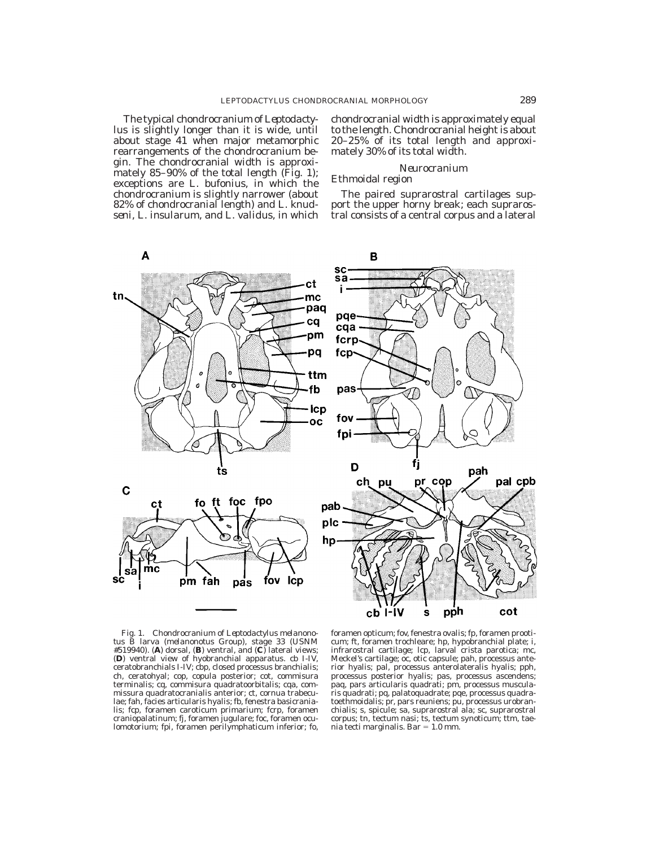The typical chondrocranium of *Leptodactylus* is slightly longer than it is wide, until about stage 41 when major metamorphic rearrangements of the chondrocranium begin. The chondrocranial width is approximately 85–90% of the total length (Fig. 1); exceptions are *L. bufonius,* in which the chondrocranium is slightly narrower (about 82% of chondrocranial length) and *L. knudseni, L. insularum,* and *L. validus,* in which chondrocranial width is approximately equal to the length. Chondrocranial height is about 20–25% of its total length and approximately 30% of its total width.

#### *Neurocranium*

#### Ethmoidal region

The paired suprarostral cartilages support the upper horny break; each suprarostral consists of a central corpus and a lateral



Fig. 1. Chondrocranium of *Leptodactylus melanonotus* B larva (*melanonotus* Group), stage 33 (USNM #519940). (**A**) dorsal, (**B**) ventral, and (**C**) lateral views; (**D**) ventral view of hyobranchial apparatus. cb I-IV, ceratobranchials I-IV; cbp, closed processus branchialis; ch, ceratohyal; cop, copula posterior; cot, commisura terminalis; cq, commisura quadratoorbitalis; cqa, commissura quadratocranialis anterior; ct, cornua trabeculae; fah, facies articularis hyalis; fb, fenestra basicranialis; fcp, foramen caroticum primarium; fcrp, foramen craniopalatinum; fj, foramen jugulare; foc, foramen oculomotorium; fpi, foramen perilymphaticum inferior; fo,

foramen opticum; fov, fenestra ovalis; fp, foramen prooticum; ft, foramen trochleare; hp, hypobranchial plate; i, infrarostral cartilage; lcp, larval crista parotica; mc, Meckel's cartilage; oc, otic capsule; pah, processus anterior hyalis; pal, processus anterolateralis hyalis; pph, processus posterior hyalis; pas, processus ascendens; paq, pars articularis quadrati; pm, processus muscularis quadrati; pq, palatoquadrate; pqe, processus quadratoethmoidalis; pr, pars reuniens; pu, processus urobranchialis; s, spicule; sa, suprarostral ala; sc, suprarostral corpus; tn, tectum nasi; ts, tectum synoticum; ttm, taenia tecti marginalis. Bar  $= 1.0$  mm.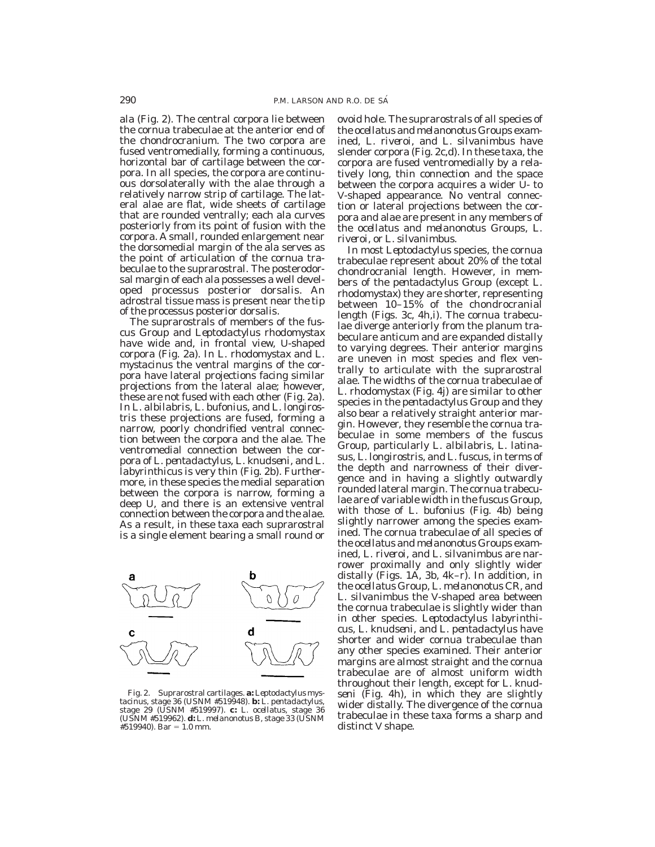ala (Fig. 2). The central corpora lie between the cornua trabeculae at the anterior end of the chondrocranium. The two corpora are fused ventromedially, forming a continuous, horizontal bar of cartilage between the corpora. In all species, the corpora are continuous dorsolaterally with the alae through a relatively narrow strip of cartilage. The lateral alae are flat, wide sheets of cartilage that are rounded ventrally; each ala curves posteriorly from its point of fusion with the corpora. A small, rounded enlargement near the dorsomedial margin of the ala serves as the point of articulation of the cornua trabeculae to the suprarostral. The posterodorsal margin of each ala possesses a well developed processus posterior dorsalis. An adrostral tissue mass is present near the tip of the processus posterior dorsalis.

The suprarostrals of members of the *fuscus* Group and *Leptodactylus rhodomystax* have wide and, in frontal view, U-shaped corpora (Fig. 2a). In *L. rhodomystax* and *L. mystacinus* the ventral margins of the corpora have lateral projections facing similar projections from the lateral alae; however, these are not fused with each other (Fig. 2a). In *L. albilabris, L. bufonius,* and *L. longirostris* these projections are fused, forming a narrow, poorly chondrified ventral connection between the corpora and the alae. The ventromedial connection between the corpora of *L. pentadactylus, L. knudseni,* and *L. labyrinthicus* is very thin (Fig. 2b). Furthermore, in these species the medial separation between the corpora is narrow, forming a deep U, and there is an extensive ventral connection between the corpora and the alae. As a result, in these taxa each suprarostral is a single element bearing a small round or



Fig. 2. Suprarostral cartilages. **a:** *Leptodactylus mystacinus,* stage 36 (USNM #519948). **b:** *L. pentadactylus,* stage 29 (USNM #519997). **c:** *L. ocellatus,* stage 36 (USNM #519962). **d:** *L. melanonotus* B, stage 33 (USNM  $#519940$ . Bar = 1.0 mm.

ovoid hole. The suprarostrals of all species of the *ocellatus* and *melanonotus* Groups examined, *L. riveroi,* and *L. silvanimbus* have slender corpora (Fig. 2c,d). In these taxa, the corpora are fused ventromedially by a relatively long, thin connection and the space between the corpora acquires a wider U- to V-shaped appearance. No ventral connection or lateral projections between the corpora and alae are present in any members of the *ocellatus* and *melanonotus* Groups, *L. riveroi,* or *L. silvanimbus.*

In most *Leptodactylus* species, the cornua trabeculae represent about 20% of the total chondrocranial length. However, in members of the *pentadactylus* Group (except *L. rhodomystax*) they are shorter, representing between 10–15% of the chondrocranial length (Figs. 3c, 4h,i). The cornua trabeculae diverge anteriorly from the planum trabeculare anticum and are expanded distally to varying degrees. Their anterior margins are uneven in most species and flex ventrally to articulate with the suprarostral alae. The widths of the cornua trabeculae of *L. rhodomystax* (Fig. 4j) are similar to other species in the *pentadactylus* Group and they also bear a relatively straight anterior margin. However, they resemble the cornua trabeculae in some members of the *fuscus* Group, particularly *L. albilabris, L. latinasus, L. longirostris,* and *L. fuscus,* in terms of the depth and narrowness of their divergence and in having a slightly outwardly rounded lateral margin. The cornua trabeculae are of variable width in the *fuscus* Group, with those of *L. bufonius* (Fig. 4b) being slightly narrower among the species examined. The cornua trabeculae of all species of the *ocellatus* and *melanonotus* Groups examined, *L. riveroi,* and *L. silvanimbus* are narrower proximally and only slightly wider distally (Figs. 1A, 3b, 4k–r). In addition, in the *ocellatus* Group, *L. melanonotus* CR, and *L. silvanimbus* the V-shaped area between the cornua trabeculae is slightly wider than in other species. *Leptodactylus labyrinthicus, L. knudseni,* and *L. pentadactylus* have shorter and wider cornua trabeculae than any other species examined. Their anterior margins are almost straight and the cornua trabeculae are of almost uniform width throughout their length, except for *L. knudseni* (Fig. 4h), in which they are slightly wider distally. The divergence of the cornua trabeculae in these taxa forms a sharp and distinct V shape.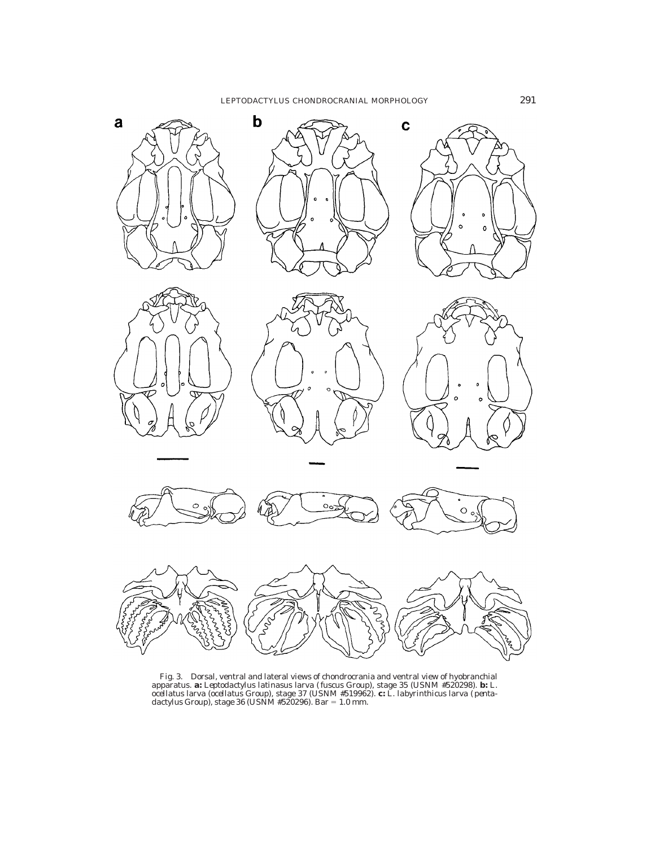

Fig. 3. Dorsal, ventral and lateral views of chondrocrania and ventral view of hyobranchial apparatus. **a:** *Leptodactylus latinasus* larva (*fuscus* Group), stage 35 (USNM #520298). **b:** *L. ocellatus* larva (*coellatus*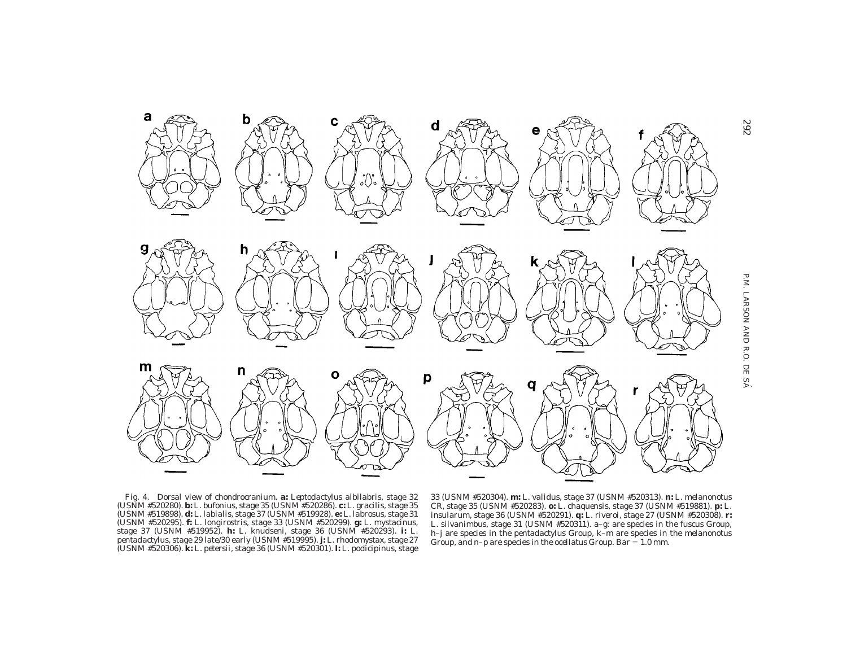

292



33 (USNM #520304). **m:** *L. validus,* stage 37 (USNM #520313). **n:** *L. melanonotus* CR, stage 35 (USNM #520283). **o:** *L. chaquensis,* stage 37 (USNM #519881). **p:** *L. insularum,* stage 36 (USNM #520291). **q:** *L. riveroi,* stage 27 (USNM #520308). **r:** *L. silvanimbus,* stage 31 (USNM #520311). a–g: are species in the *fuscus* Group, h–j are species in the *pentadactylus* Group, k–m are species in the *melanonotus* Group, and n-p are species in the *ocellatus* Group. Bar = 1.0 mm.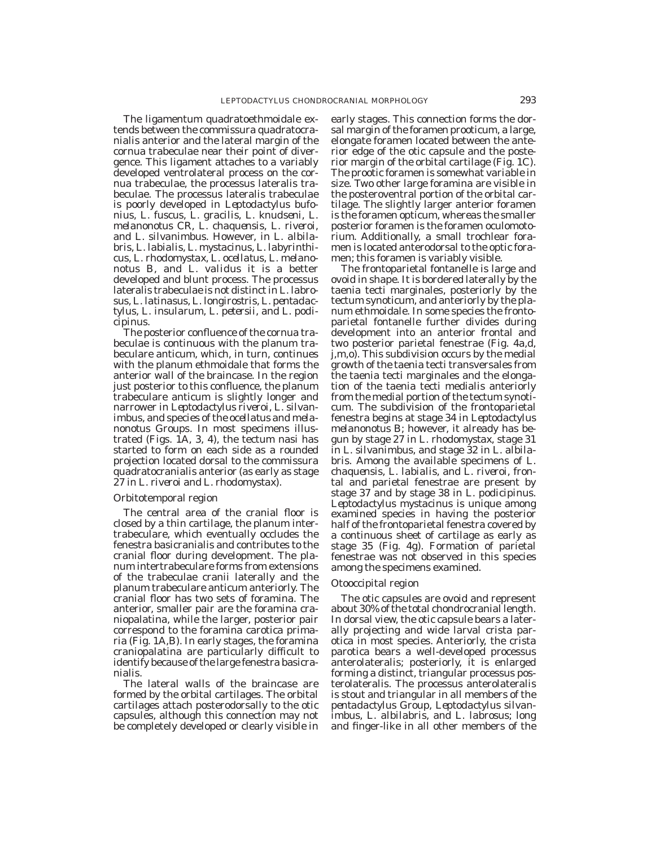The ligamentum quadratoethmoidale extends between the commissura quadratocranialis anterior and the lateral margin of the cornua trabeculae near their point of divergence. This ligament attaches to a variably developed ventrolateral process on the cornua trabeculae, the processus lateralis trabeculae. The processus lateralis trabeculae is poorly developed in *Leptodactylus bufonius, L. fuscus, L. gracilis, L. knudseni, L. melanonotus* CR, *L. chaquensis, L. riveroi,* and *L. silvanimbus.* However, in *L. albilabris, L. labialis, L. mystacinus, L. labyrinthicus, L. rhodomystax, L. ocellatus, L. melanonotus* B, and *L. validus* it is a better developed and blunt process. The processus lateralis trabeculae is not distinct in *L. labrosus, L. latinasus, L. longirostris, L. pentadactylus, L. insularum, L. petersii,* and *L. podicipinus.*

The posterior confluence of the cornua trabeculae is continuous with the planum trabeculare anticum, which, in turn, continues with the planum ethmoidale that forms the anterior wall of the braincase. In the region just posterior to this confluence, the planum trabeculare anticum is slightly longer and narrower in *Leptodactylus riveroi, L. silvanimbus,* and species of the *ocellatus* and *melanonotus* Groups. In most specimens illustrated (Figs. 1A, 3, 4), the tectum nasi has started to form on each side as a rounded projection located dorsal to the commissura quadratocranialis anterior (as early as stage 27 in *L. riveroi* and *L. rhodomystax*).

#### Orbitotemporal region

The central area of the cranial floor is closed by a thin cartilage, the planum intertrabeculare, which eventually occludes the fenestra basicranialis and contributes to the cranial floor during development. The planum intertrabeculare forms from extensions of the trabeculae cranii laterally and the planum trabeculare anticum anteriorly. The cranial floor has two sets of foramina. The anterior, smaller pair are the foramina craniopalatina, while the larger, posterior pair correspond to the foramina carotica primaria (Fig. 1A,B). In early stages, the foramina craniopalatina are particularly difficult to identify because of the large fenestra basicranialis.

The lateral walls of the braincase are formed by the orbital cartilages. The orbital cartilages attach posterodorsally to the otic capsules, although this connection may not be completely developed or clearly visible in early stages. This connection forms the dorsal margin of the foramen prooticum, a large, elongate foramen located between the anterior edge of the otic capsule and the posterior margin of the orbital cartilage (Fig. 1C). The prootic foramen is somewhat variable in size. Two other large foramina are visible in the posteroventral portion of the orbital cartilage. The slightly larger anterior foramen is the foramen opticum, whereas the smaller posterior foramen is the foramen oculomotorium. Additionally, a small trochlear foramen is located anterodorsal to the optic foramen; this foramen is variably visible.

The frontoparietal fontanelle is large and ovoid in shape. It is bordered laterally by the taenia tecti marginales, posteriorly by the tectum synoticum, and anteriorly by the planum ethmoidale. In some species the frontoparietal fontanelle further divides during development into an anterior frontal and two posterior parietal fenestrae (Fig. 4a,d, j,m,o). This subdivision occurs by the medial growth of the taenia tecti transversales from the taenia tecti marginales and the elongation of the taenia tecti medialis anteriorly from the medial portion of the tectum synoticum. The subdivision of the frontoparietal fenestra begins at stage 34 in *Leptodactylus melanonotus* B; however, it already has begun by stage 27 in *L. rhodomystax,* stage 31 in *L. silvanimbus,* and stage 32 in *L. albilabris.* Among the available specimens of *L. chaquensis, L. labialis,* and *L. riveroi,* frontal and parietal fenestrae are present by stage 37 and by stage 38 in *L. podicipinus. Leptodactylus mystacinus* is unique among examined species in having the posterior half of the frontoparietal fenestra covered by a continuous sheet of cartilage as early as stage 35 (Fig. 4g). Formation of parietal fenestrae was not observed in this species among the specimens examined.

#### Otooccipital region

The otic capsules are ovoid and represent about 30% of the total chondrocranial length. In dorsal view, the otic capsule bears a laterally projecting and wide larval crista parotica in most species. Anteriorly, the crista parotica bears a well-developed processus anterolateralis; posteriorly, it is enlarged forming a distinct, triangular processus posterolateralis. The processus anterolateralis is stout and triangular in all members of the *pentadactylus* Group, *Leptodactylus silvanimbus, L. albilabris,* and *L. labrosus;* long and finger-like in all other members of the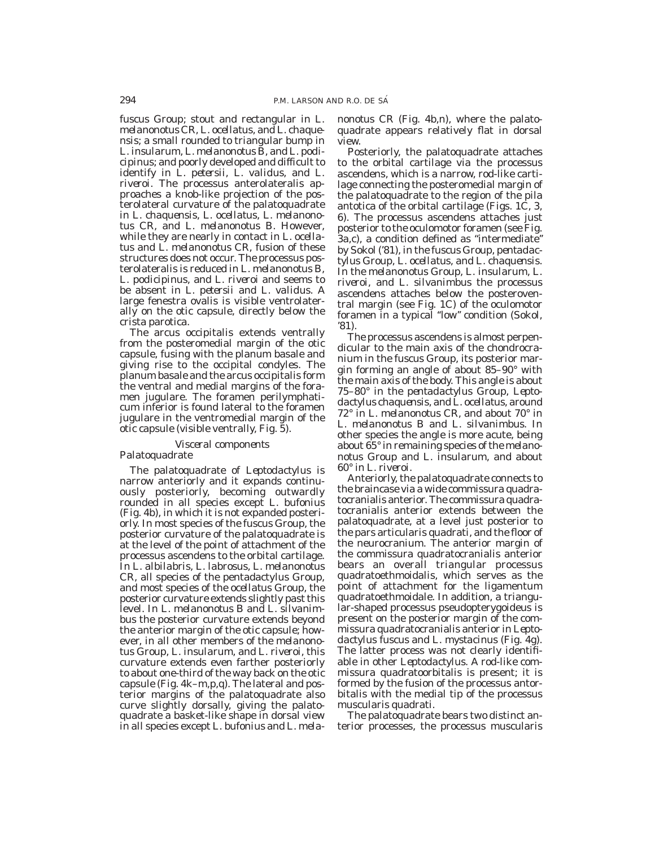*fuscus* Group; stout and rectangular in *L. melanonotus* CR, *L. ocellatus,* and *L. chaquensis;* a small rounded to triangular bump in *L. insularum, L. melanonotus* B, and *L. podicipinus;* and poorly developed and difficult to identify in *L. petersii, L. validus,* and *L. riveroi.* The processus anterolateralis approaches a knob-like projection of the posterolateral curvature of the palatoquadrate in *L. chaquensis, L. ocellatus, L. melanonotus* CR, and *L. melanonotus* B. However, while they are nearly in contact in *L. ocellatus* and *L. melanonotus* CR, fusion of these structures does not occur. The processus posterolateralis is reduced in *L. melanonotus* B, *L. podicipinus,* and *L. riveroi* and seems to be absent in *L. petersii* and *L. validus.* A large fenestra ovalis is visible ventrolaterally on the otic capsule, directly below the crista parotica.

The arcus occipitalis extends ventrally from the posteromedial margin of the otic capsule, fusing with the planum basale and giving rise to the occipital condyles. The planum basale and the arcus occipitalis form the ventral and medial margins of the foramen jugulare. The foramen perilymphaticum inferior is found lateral to the foramen jugulare in the ventromedial margin of the otic capsule (visible ventrally, Fig. 5).

#### *Visceral components* Palatoquadrate

The palatoquadrate of *Leptodactylus* is narrow anteriorly and it expands continuously posteriorly, becoming outwardly rounded in all species except *L. bufonius* (Fig. 4b), in which it is not expanded posteriorly. In most species of the *fuscus* Group, the posterior curvature of the palatoquadrate is at the level of the point of attachment of the processus ascendens to the orbital cartilage. In *L. albilabris, L. labrosus, L. melanonotus* CR, all species of the pentadactylus Group, and most species of the *ocellatus* Group, the posterior curvature extends slightly past this level. In *L. melanonotus* B and *L. silvanimbus* the posterior curvature extends beyond the anterior margin of the otic capsule; however, in all other members of the *melanonotus* Group, *L. insularum,* and *L. riveroi,* this curvature extends even farther posteriorly to about one-third of the way back on the otic capsule (Fig. 4k–m,p,q). The lateral and posterior margins of the palatoquadrate also curve slightly dorsally, giving the palatoquadrate a basket-like shape in dorsal view in all species except *L. bufonius* and *L. mela-* *nonotus* CR (Fig. 4b,n), where the palatoquadrate appears relatively flat in dorsal view.

Posteriorly, the palatoquadrate attaches to the orbital cartilage via the processus ascendens, which is a narrow, rod-like cartilage connecting the posteromedial margin of the palatoquadrate to the region of the pila antotica of the orbital cartilage (Figs. 1C, 3, 6). The processus ascendens attaches just posterior to the oculomotor foramen (see Fig. 3a,c), a condition defined as ''intermediate'' by Sokol ('81), in the *fuscus* Group, *pentadactylus* Group, *L. ocellatus,* and *L. chaquensis.* In the *melanonotus* Group, *L. insularum, L. riveroi,* and *L. silvanimbus* the processus ascendens attaches below the posteroventral margin (see Fig. 1C) of the oculomotor foramen in a typical ''low'' condition (Sokol, '81).

The processus ascendens is almost perpendicular to the main axis of the chondrocranium in the *fuscus* Group, its posterior margin forming an angle of about 85–90° with the main axis of the body. This angle is about 75–80° in the *pentadactylus* Group, *Leptodactylus chaquensis,* and *L. ocellatus,* around 72° in *L. melanonotus* CR, and about 70° in *L. melanonotus* B and *L. silvanimbus.* In other species the angle is more acute, being about 65° in remaining species of the *melanonotus* Group and *L. insularum,* and about 60° in *L. riveroi.*

Anteriorly, the palatoquadrate connects to the braincase via a wide commissura quadratocranialis anterior. The commissura quadratocranialis anterior extends between the palatoquadrate, at a level just posterior to the pars articularis quadrati, and the floor of the neurocranium. The anterior margin of the commissura quadratocranialis anterior bears an overall triangular processus quadratoethmoidalis, which serves as the point of attachment for the ligamentum quadratoethmoidale. In addition, a triangular-shaped processus pseudopterygoideus is present on the posterior margin of the commissura quadratocranialis anterior in *Leptodactylus fuscus* and *L. mystacinus* (Fig. 4g). The latter process was not clearly identifiable in other *Leptodactylus.* A rod-like commissura quadratoorbitalis is present; it is formed by the fusion of the processus antorbitalis with the medial tip of the processus muscularis quadrati.

The palatoquadrate bears two distinct anterior processes, the processus muscularis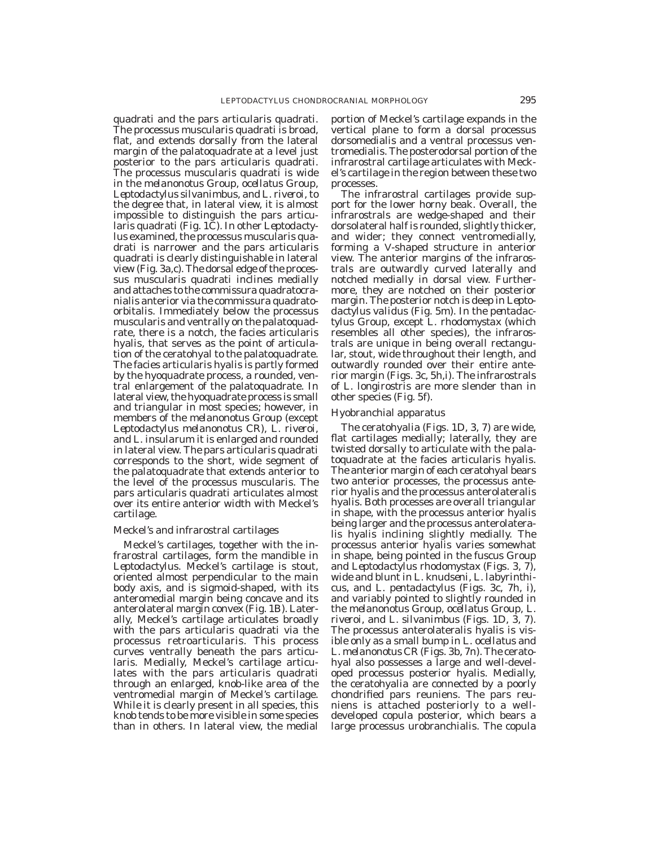quadrati and the pars articularis quadrati. The processus muscularis quadrati is broad, flat, and extends dorsally from the lateral margin of the palatoquadrate at a level just posterior to the pars articularis quadrati. The processus muscularis quadrati is wide in the *melanonotus* Group, *ocellatus* Group, *Leptodactylus silvanimbus,* and *L. riveroi,* to the degree that, in lateral view, it is almost impossible to distinguish the pars articularis quadrati (Fig. 1C). In other *Leptodactylus* examined, the processus muscularis quadrati is narrower and the pars articularis quadrati is clearly distinguishable in lateral view (Fig. 3a,c). The dorsal edge of the processus muscularis quadrati inclines medially and attaches to the commissura quadratocranialis anterior via the commissura quadratoorbitalis. Immediately below the processus muscularis and ventrally on the palatoquadrate, there is a notch, the facies articularis hyalis, that serves as the point of articulation of the ceratohyal to the palatoquadrate. The facies articularis hyalis is partly formed by the hyoquadrate process, a rounded, ventral enlargement of the palatoquadrate. In lateral view, the hyoquadrate process is small and triangular in most species; however, in members of the *melanonotus* Group (except *Leptodactylus melanonotus* CR), *L. riveroi,* and *L. insularum* it is enlarged and rounded in lateral view. The pars articularis quadrati corresponds to the short, wide segment of the palatoquadrate that extends anterior to the level of the processus muscularis. The pars articularis quadrati articulates almost over its entire anterior width with Meckel's cartilage.

#### Meckel's and infrarostral cartilages

Meckel's cartilages, together with the infrarostral cartilages, form the mandible in *Leptodactylus.* Meckel's cartilage is stout, oriented almost perpendicular to the main body axis, and is sigmoid-shaped, with its anteromedial margin being concave and its anterolateral margin convex (Fig. 1B). Laterally, Meckel's cartilage articulates broadly with the pars articularis quadrati via the processus retroarticularis. This process curves ventrally beneath the pars articularis. Medially, Meckel's cartilage articulates with the pars articularis quadrati through an enlarged, knob-like area of the ventromedial margin of Meckel's cartilage. While it is clearly present in all species, this knob tends to be more visible in some species than in others. In lateral view, the medial

portion of Meckel's cartilage expands in the vertical plane to form a dorsal processus dorsomedialis and a ventral processus ventromedialis. The posterodorsal portion of the infrarostral cartilage articulates with Meckel's cartilage in the region between these two processes.

The infrarostral cartilages provide support for the lower horny beak. Overall, the infrarostrals are wedge-shaped and their dorsolateral half is rounded, slightly thicker, and wider; they connect ventromedially, forming a V-shaped structure in anterior view. The anterior margins of the infrarostrals are outwardly curved laterally and notched medially in dorsal view. Furthermore, they are notched on their posterior margin. The posterior notch is deep in *Leptodactylus validus* (Fig. 5m). In the *pentadactylus* Group, except *L. rhodomystax* (which resembles all other species), the infrarostrals are unique in being overall rectangular, stout, wide throughout their length, and outwardly rounded over their entire anterior margin (Figs. 3c, 5h,i). The infrarostrals of *L. longirostris* are more slender than in other species (Fig. 5f).

#### Hyobranchial apparatus

The ceratohyalia (Figs. 1D, 3, 7) are wide, flat cartilages medially; laterally, they are twisted dorsally to articulate with the palatoquadrate at the facies articularis hyalis. The anterior margin of each ceratohyal bears two anterior processes, the processus anterior hyalis and the processus anterolateralis hyalis. Both processes are overall triangular in shape, with the processus anterior hyalis being larger and the processus anterolateralis hyalis inclining slightly medially. The processus anterior hyalis varies somewhat in shape, being pointed in the *fuscus* Group and *Leptodactylus rhodomystax* (Figs. 3, 7), wide and blunt in *L. knudseni, L. labyrinthicus,* and *L. pentadactylus* (Figs. 3c, 7h, i), and variably pointed to slightly rounded in the *melanonotus* Group, *ocellatus* Group, *L. riveroi,* and *L. silvanimbus* (Figs. 1D, 3, 7). The processus anterolateralis hyalis is visible only as a small bump in *L. ocellatus* and *L. melanonotus* CR (Figs. 3b, 7n). The ceratohyal also possesses a large and well-developed processus posterior hyalis. Medially, the ceratohyalia are connected by a poorly chondrified pars reuniens. The pars reuniens is attached posteriorly to a welldeveloped copula posterior, which bears a large processus urobranchialis. The copula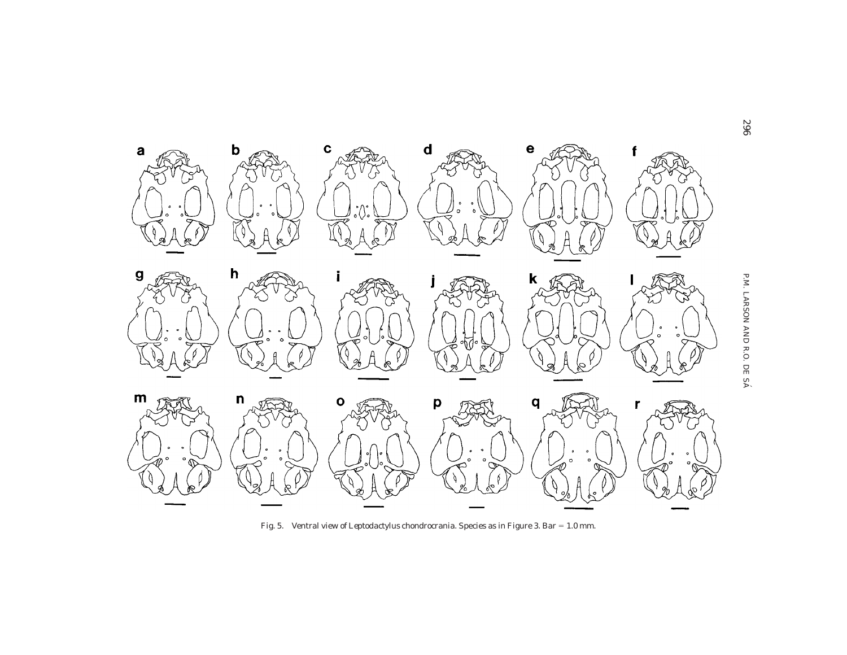

Fig. 5. Ventral view of *Leptodactylus* chondrocrania. Species as in Figure 3. Bar = 1.0 mm.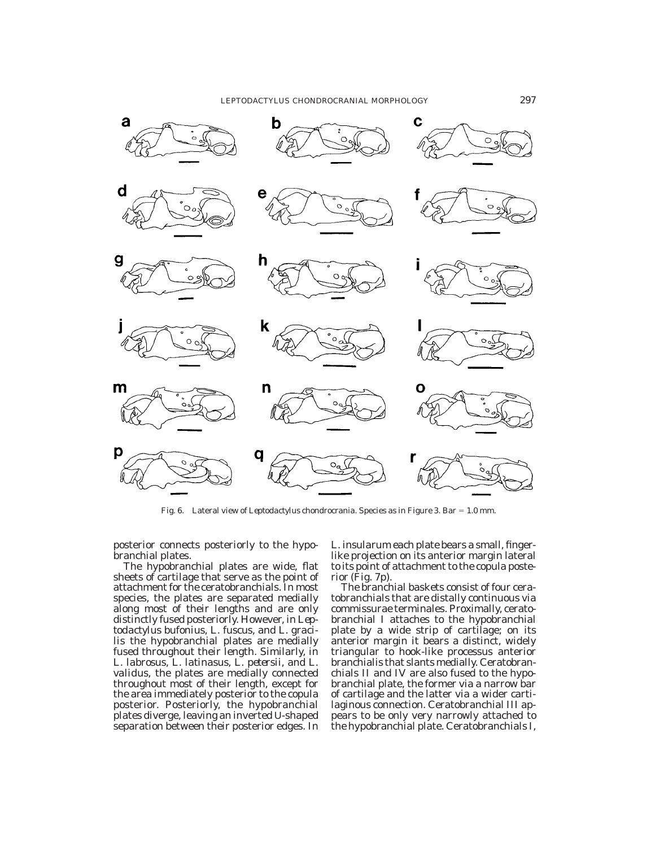

Fig. 6. Lateral view of *Leptodactylus* chondrocrania. Species as in Figure 3. Bar = 1.0 mm.

posterior connects posteriorly to the hypobranchial plates.

The hypobranchial plates are wide, flat sheets of cartilage that serve as the point of attachment for the ceratobranchials. In most species, the plates are separated medially along most of their lengths and are only distinctly fused posteriorly. However, in *Leptodactylus bufonius, L. fuscus,* and *L. gracilis* the hypobranchial plates are medially fused throughout their length. Similarly, in *L. labrosus, L. latinasus, L. petersii,* and *L. validus,* the plates are medially connected throughout most of their length, except for the area immediately posterior to the copula posterior. Posteriorly, the hypobranchial plates diverge, leaving an inverted U-shaped separation between their posterior edges. In *L. insularum* each plate bears a small, fingerlike projection on its anterior margin lateral to its point of attachment to the copula posterior (Fig. 7p).

The branchial baskets consist of four ceratobranchials that are distally continuous via commissurae terminales. Proximally, ceratobranchial I attaches to the hypobranchial plate by a wide strip of cartilage; on its anterior margin it bears a distinct, widely triangular to hook-like processus anterior branchialis that slants medially. Ceratobranchials II and IV are also fused to the hypobranchial plate, the former via a narrow bar of cartilage and the latter via a wider cartilaginous connection. Ceratobranchial III appears to be only very narrowly attached to the hypobranchial plate. Ceratobranchials I,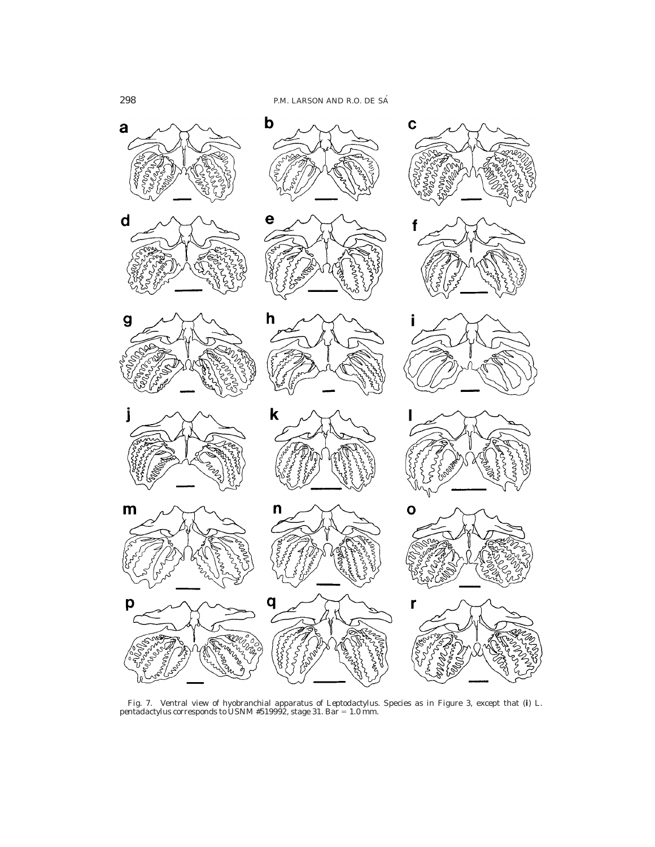

Fig. 7. Ventral view of hyobranchial apparatus of *Leptodactylus.* Species as in Figure 3, except that (**i**) *L. pentadactylus* corresponds to USNM #519992, stage 31. Bar 5 1.0 mm.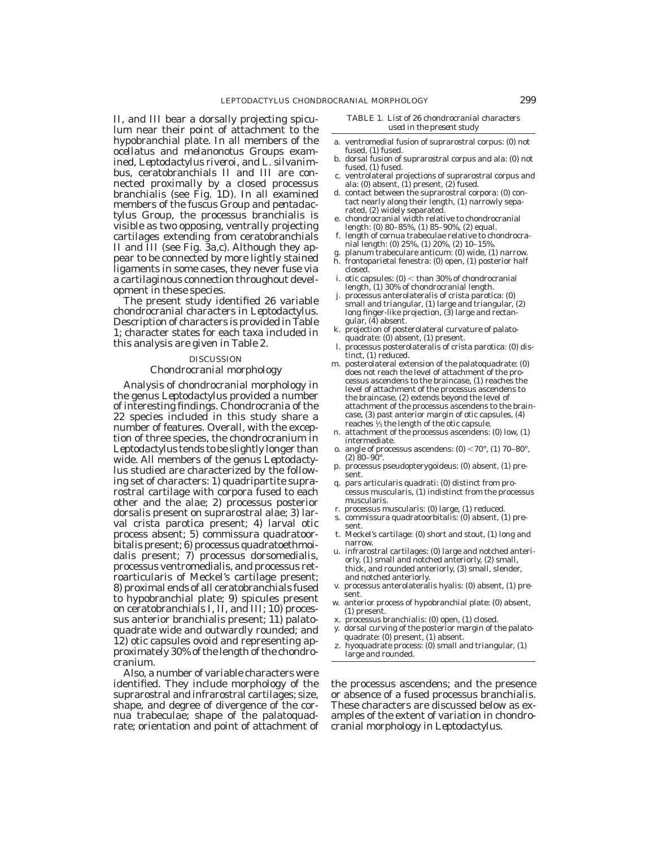II, and III bear a dorsally projecting spiculum near their point of attachment to the hypobranchial plate. In all members of the *ocellatus* and *melanonotus* Groups examined, *Leptodactylus riveroi,* and *L. silvanimbus,* ceratobranchials II and III are connected proximally by a closed processus branchialis (see Fig. 1D). In all examined members of the *fuscus* Group and *pentadactylus* Group, the processus branchialis is visible as two opposing, ventrally projecting cartilages extending from ceratobranchials II and III (see Fig. 3a,c). Although they appear to be connected by more lightly stained ligaments in some cases, they never fuse via a cartilaginous connection throughout development in these species.

The present study identified 26 variable chondrocranial characters in *Leptodactylus.* Description of characters is provided in Table 1; character states for each taxa included in this analysis are given in Table 2.

#### DISCUSSION

#### *Chondrocranial morphology*

Analysis of chondrocranial morphology in the genus *Leptodactylus* provided a number of interesting findings. Chondrocrania of the 22 species included in this study share a number of features. Overall, with the exception of three species, the chondrocranium in *Leptodactylus* tends to be slightly longer than wide. All members of the genus *Leptodactylus* studied are characterized by the following set of characters: 1) quadripartite suprarostral cartilage with corpora fused to each other and the alae; 2) processus posterior dorsalis present on suprarostral alae; 3) larval crista parotica present; 4) larval otic process absent; 5) commissura quadratoorbitalis present; 6) processus quadratoethmoidalis present; 7) processus dorsomedialis, processus ventromedialis, and processus retroarticularis of Meckel's cartilage present; 8) proximal ends of all ceratobranchials fused to hypobranchial plate; 9) spicules present on ceratobranchials I, II, and III; 10) processus anterior branchialis present; 11) palatoquadrate wide and outwardly rounded; and 12) otic capsules ovoid and representing approximately 30% of the length of the chondrocranium.

Also, a number of variable characters were identified. They include morphology of the suprarostral and infrarostral cartilages; size, shape, and degree of divergence of the cornua trabeculae; shape of the palatoquadrate; orientation and point of attachment of *TABLE 1. List of 26 chondrocranial characters used in the present study*

- a. ventromedial fusion of suprarostral corpus: (0) not fused, (1) fused.
- b. dorsal fusion of suprarostral corpus and ala: (0) not fused, (1) fused.
- c. ventrolateral projections of suprarostral corpus and ala: (0) absent, (1) present, (2) fused.
- d. contact between the suprarostral corpora: (0) contact nearly along their length, (1) narrowly separated, (2) widely separated.
- e. chondrocranial width relative to chondrocranial length: (0) 80–85%, (1) 85–90%, (2) equal.
- f. length of cornua trabeculae relative to chondrocranial length: (0) 25%, (1) 20%, (2) 10–15%.
- g. planum trabeculare anticum: (0) wide, (1) narrow. h. frontoparietal fenestra: (0) open, (1) posterior half closed.
- i. otic capsules:  $(0)$  < than 30% of chondrocranial length, (1) 30% of chondrocranial length.
- j. processus anterolateralis of crista parotica: (0) small and triangular, (1) large and triangular, (2) long finger-like projection, (3) large and rectangular,  $(4)$  absent.
- k. projection of posterolateral curvature of palatoquadrate: (0) absent, (1) present.
- l. processus posterolateralis of crista parotica: (0) distinct, (1) reduced.
- m. posterolateral extension of the palatoquadrate: (0) does not reach the level of attachment of the processus ascendens to the braincase, (1) reaches the level of attachment of the processus ascendens to the braincase, (2) extends beyond the level of attachment of the processus ascendens to the braincase, (3) past anterior margin of otic capsules, (4) reaches <sup>1</sup> ⁄3 the length of the otic capsule.
- n. attachment of the processus ascendens: (0) low, (1) intermediate.
- o. angle of processus ascendens:  $(0)$  <70°,  $(1)$  70–80°,  $(2)$  80–90<sup>°</sup>
- p. processus pseudopterygoideus: (0) absent, (1) present.
- q. pars articularis quadrati: (0) distinct from processus muscularis, (1) indistinct from the processus muscularis.
- r. processus muscularis: (0) large, (1) reduced.
- s. commissura quadratoorbitalis: (0) absent, (1) present.
- t. Meckel's cartilage: (0) short and stout, (1) long and narrow.
- u. infrarostral cartilages: (0) large and notched anteriorly, (1) small and notched anteriorly, (2) small, thick, and rounded anteriorly, (3) small, slender, and notched anteriorly.
- v. processus anterolateralis hyalis: (0) absent, (1) present.
- w. anterior process of hypobranchial plate: (0) absent, (1) present.
- x. processus branchialis: (0) open, (1) closed.
- y. dorsal curving of the posterior margin of the palatoquadrate: (0) present, (1) absent.
- z. hyoquadrate process: (0) small and triangular, (1) large and rounded.

the processus ascendens; and the presence or absence of a fused processus branchialis. These characters are discussed below as examples of the extent of variation in chondrocranial morphology in *Leptodactylus.*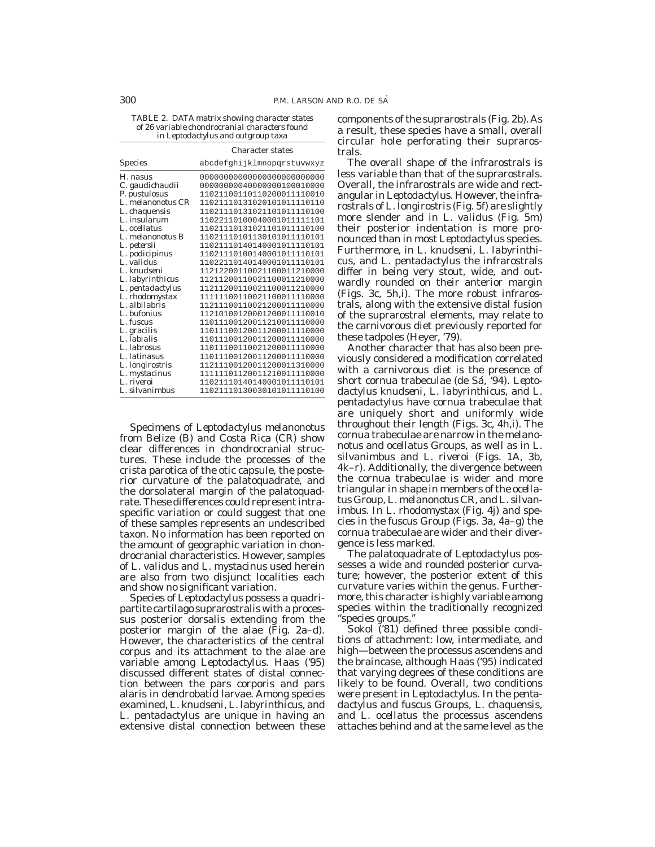*TABLE 2. DATA matrix showing character states of 26 variable chondrocranial characters found in Leptodactylus* and outgroup taxa

|                    | <b>Character states</b>    |  |  |  |  |
|--------------------|----------------------------|--|--|--|--|
| <b>Species</b>     | abcdefghijklmnopqrstuvwxyz |  |  |  |  |
| H. nasus           |                            |  |  |  |  |
| C. gaudichaudii    | 00000000040000000100010000 |  |  |  |  |
| P. pustulosus      | 11021100110110200011110010 |  |  |  |  |
| L. melanonotus CR  | 11021110131020101011110110 |  |  |  |  |
| L. chaquensis      | 11021110131021101011110100 |  |  |  |  |
| L. insularum       | 11022110100040001011111101 |  |  |  |  |
| L. ocellatus       | 11021110131021101011110100 |  |  |  |  |
| L. melanonotus B   | 11021110101130101011110101 |  |  |  |  |
| L. petersii        | 11021110140140001011110101 |  |  |  |  |
| L. podicipinus     | 11021110100140001011110101 |  |  |  |  |
| L. validus         | 11022110140140001011110101 |  |  |  |  |
| L. knudseni        | 11212200110021100011210000 |  |  |  |  |
| L. labyrinthicus   | 11211200110021100011210000 |  |  |  |  |
| L. pentadactylus   | 11211200110021100011210000 |  |  |  |  |
| L. rhodomystax     | 11111100110021100011110000 |  |  |  |  |
| L. albilabris      | 11211100110021200011110000 |  |  |  |  |
| L. bufonius        | 11210100120001200011110010 |  |  |  |  |
| L. fuscus          | 11011100120011210011110000 |  |  |  |  |
| L. gracilis        | 11011100120011200011110000 |  |  |  |  |
| L. labialis        | 11011100120011200011110000 |  |  |  |  |
| <i>L. labrosus</i> | 11011100110021200011110000 |  |  |  |  |
| L. latinasus       | 11011100120011200011110000 |  |  |  |  |
| L. longirostris    | 11211100120011200011310000 |  |  |  |  |
| L. mystacinus      | 11111101120011210011110000 |  |  |  |  |
| L. riveroi         | 11021110140140001011110101 |  |  |  |  |
| L. silvanimbus     | 11021110130030101011110100 |  |  |  |  |

Specimens of *Leptodactylus melanonotus* from Belize (B) and Costa Rica (CR) show clear differences in chondrocranial structures. These include the processes of the crista parotica of the otic capsule, the posterior curvature of the palatoquadrate, and the dorsolateral margin of the palatoquadrate. These differences could represent intraspecific variation or could suggest that one of these samples represents an undescribed taxon. No information has been reported on the amount of geographic variation in chondrocranial characteristics. However, samples of *L. validus* and *L. mystacinus* used herein are also from two disjunct localities each and show no significant variation.

Species of *Leptodactylus* possess a quadripartite cartilago suprarostralis with a processus posterior dorsalis extending from the posterior margin of the alae (Fig. 2a–d). However, the characteristics of the central corpus and its attachment to the alae are variable among *Leptodactylus.* Haas ('95) discussed different states of distal connection between the pars corporis and pars alaris in dendrobatid larvae. Among species examined, *L. knudseni, L. labyrinthicus,* and *L. pentadactylus* are unique in having an extensive distal connection between these components of the suprarostrals (Fig. 2b). As a result, these species have a small, overall circular hole perforating their suprarostrals.

The overall shape of the infrarostrals is less variable than that of the suprarostrals. Overall, the infrarostrals are wide and rectangular in *Leptodactylus.* However, the infrarostrals of *L. longirostris* (Fig. 5f) are slightly more slender and in *L. validus* (Fig. 5m) their posterior indentation is more pronounced than in most *Leptodactylus* species. Furthermore, in *L. knudseni, L. labyrinthicus,* and *L. pentadactylus* the infrarostrals differ in being very stout, wide, and outwardly rounded on their anterior margin (Figs. 3c, 5h,i). The more robust infrarostrals, along with the extensive distal fusion of the suprarostral elements, may relate to the carnivorous diet previously reported for these tadpoles (Heyer, '79).

Another character that has also been previously considered a modification correlated with a carnivorous diet is the presence of short cornua trabeculae (de Sa´, '94). *Leptodactylus knudseni, L. labyrinthicus,* and *L. pentadactylus* have cornua trabeculae that are uniquely short and uniformly wide throughout their length (Figs. 3c, 4h,i). The cornua trabeculae are narrow in the *melanonotus* and *ocellatus* Groups, as well as in *L. silvanimbus* and *L. riveroi* (Figs. 1A, 3b, 4k–r). Additionally, the divergence between the cornua trabeculae is wider and more triangular in shape in members of the *ocellatus* Group, *L. melanonotus* CR, and *L. silvanimbus.* In *L. rhodomystax* (Fig. 4j) and species in the *fuscus* Group (Figs. 3a, 4a–g) the cornua trabeculae are wider and their divergence is less marked.

The palatoquadrate of *Leptodactylus* possesses a wide and rounded posterior curvature; however, the posterior extent of this curvature varies within the genus. Furthermore, this character is highly variable among species within the traditionally recognized ''species groups.''

Sokol ('81) defined three possible conditions of attachment: low, intermediate, and high—between the processus ascendens and the braincase, although Haas ('95) indicated that varying degrees of these conditions are likely to be found. Overall, two conditions were present in *Leptodactylus.* In the *pentadactylus* and *fuscus* Groups, *L. chaquensis,* and *L. ocellatus* the processus ascendens attaches behind and at the same level as the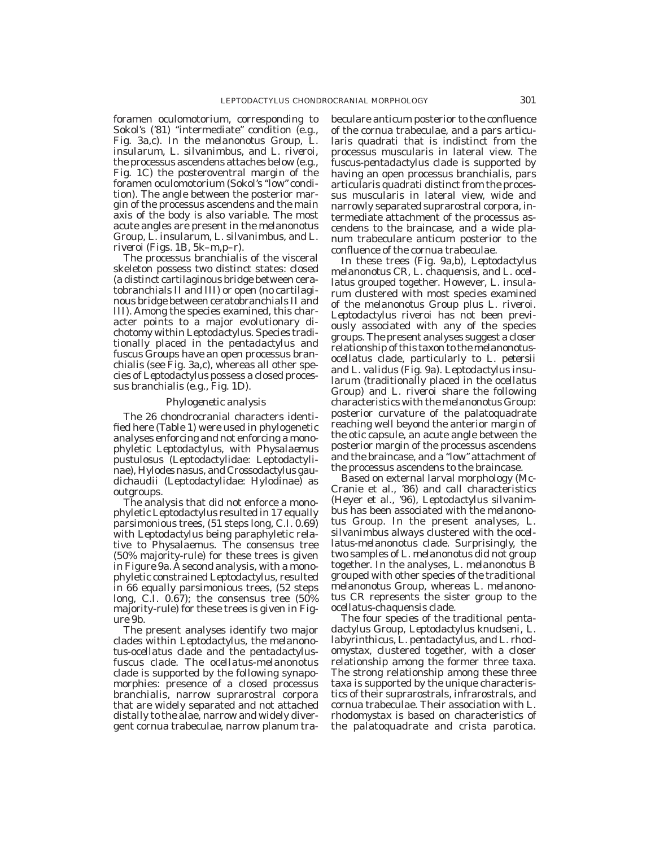foramen oculomotorium, corresponding to Sokol's ('81) "intermediate" condition (e.g., Fig. 3a,c). In the *melanonotus* Group, *L. insularum, L. silvanimbus,* and *L. riveroi,* the processus ascendens attaches below (e.g., Fig. 1C) the posteroventral margin of the foramen oculomotorium (Sokol's ''low'' condition). The angle between the posterior margin of the processus ascendens and the main axis of the body is also variable. The most acute angles are present in the *melanonotus* Group, *L. insularum, L. silvanimbus,* and *L. riveroi* (Figs. 1B, 5k–m,p–r).

The processus branchialis of the visceral skeleton possess two distinct states: closed (a distinct cartilaginous bridge between ceratobranchials II and III) or open (no cartilaginous bridge between ceratobranchials II and III). Among the species examined, this character points to a major evolutionary dichotomy within *Leptodactylus.* Species traditionally placed in the *pentadactylus* and *fuscus* Groups have an open processus branchialis (see Fig. 3a,c), whereas all other species of *Leptodactylus* possess a closed processus branchialis (e.g., Fig. 1D).

### *Phylogenetic analysis*

The 26 chondrocranial characters identified here (Table 1) were used in phylogenetic analyses enforcing and not enforcing a monophyletic *Leptodactylus,* with *Physalaemus pustulosus* (Leptodactylidae: Leptodactylinae), *Hylodes nasus,* and *Crossodactylus gaudichaudii* (Leptodactylidae: Hylodinae) as outgroups.

The analysis that did not enforce a monophyletic *Leptodactylus* resulted in 17 equally parsimonious trees, (51 steps long, C.I. 0.69) with *Leptodactylus* being paraphyletic relative to *Physalaemus.* The consensus tree (50% majority-rule) for these trees is given in Figure 9a. A second analysis, with a monophyletic constrained *Leptodactylus,* resulted in 66 equally parsimonious trees, (52 steps long, C.I. 0.67); the consensus tree (50% majority-rule) for these trees is given in Figure 9b.

The present analyses identify two major clades within *Leptodactylus,* the *melanonotus-ocellatus* clade and the *pentadactylusfuscus* clade. The *ocellatus-melanonotus* clade is supported by the following synapomorphies: presence of a closed processus branchialis, narrow suprarostral corpora that are widely separated and not attached distally to the alae, narrow and widely divergent cornua trabeculae, narrow planum trabeculare anticum posterior to the confluence of the cornua trabeculae, and a pars articularis quadrati that is indistinct from the processus muscularis in lateral view. The *fuscus-pentadactylus* clade is supported by having an open processus branchialis, pars articularis quadrati distinct from the processus muscularis in lateral view, wide and narrowly separated suprarostral corpora, intermediate attachment of the processus ascendens to the braincase, and a wide planum trabeculare anticum posterior to the confluence of the cornua trabeculae.

In these trees (Fig. 9a,b), *Leptodactylus melanonotus* CR, *L. chaquensis,* and *L. ocellatus* grouped together. However, *L. insularum* clustered with most species examined of the *melanonotus* Group plus *L. riveroi. Leptodactylus riveroi* has not been previously associated with any of the species groups. The present analyses suggest a closer relationship of this taxon to the *melanonotusocellatus* clade, particularly to *L. petersii* and *L. validus* (Fig. 9a). *Leptodactylus insularum* (traditionally placed in the *ocellatus* Group) and *L. riveroi* share the following characteristics with the *melanonotus* Group: posterior curvature of the palatoquadrate reaching well beyond the anterior margin of the otic capsule, an acute angle between the posterior margin of the processus ascendens and the braincase, and a ''low'' attachment of the processus ascendens to the braincase.

Based on external larval morphology (Mc-Cranie et al., '86) and call characteristics (Heyer et al., '96), *Leptodactylus silvanimbus* has been associated with the *melanonotus* Group. In the present analyses, *L. silvanimbus* always clustered with the *ocellatus-melanonotus* clade. Surprisingly, the two samples of *L. melanonotus* did not group together. In the analyses, *L. melanonotus* B grouped with other species of the traditional *melanonotus* Group, whereas *L. melanonotus* CR represents the sister group to the *ocellatus-chaquensis* clade.

The four species of the traditional *pentadactylus* Group, *Leptodactylus knudseni, L. labyrinthicus, L. pentadactylus,* and *L. rhodomystax,* clustered together, with a closer relationship among the former three taxa. The strong relationship among these three taxa is supported by the unique characteristics of their suprarostrals, infrarostrals, and cornua trabeculae. Their association with *L. rhodomystax* is based on characteristics of the palatoquadrate and crista parotica.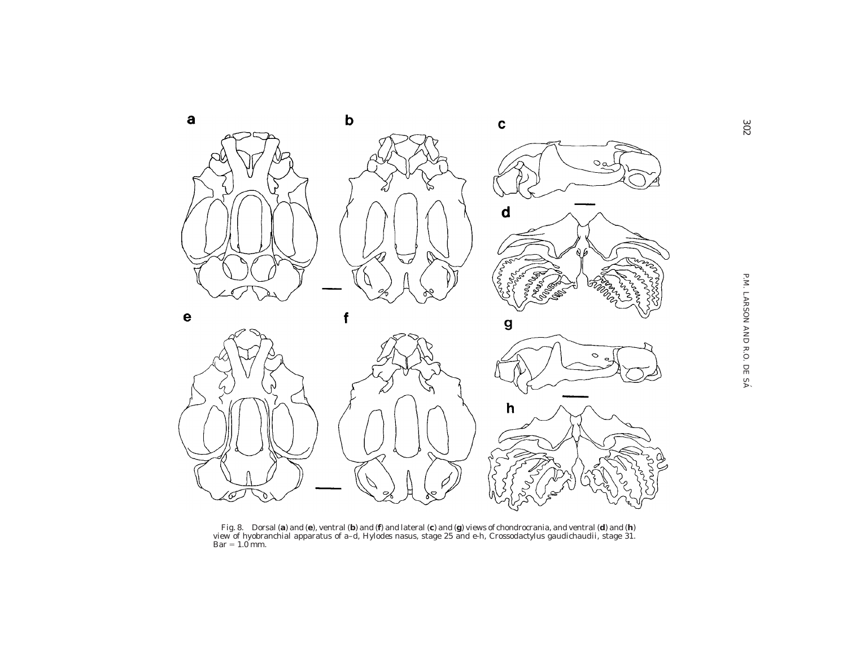

Fig. 8. Dorsal (**a**) and (**e**), ventral (**b**) and (**f**) and lateral (**c**) and (**g**) views of chondrocrania, and ventral (**d**) and (**h**)<br>view of hyobranchial apparatus of a–d, *Hylodes nasus,* stage 25 and e-h, *Crossodacty*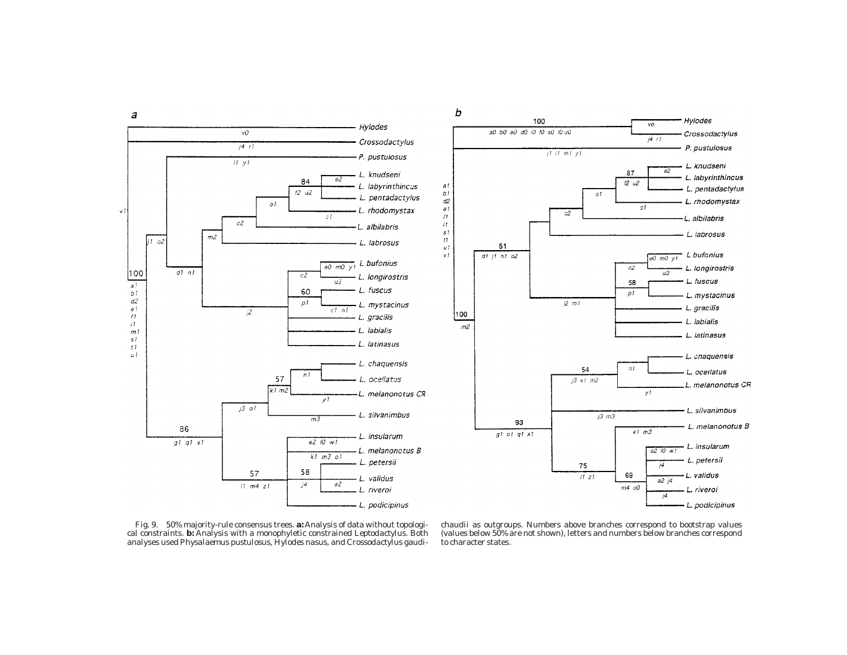





Fig. 9. 50% majority-rule consensus trees. **a:** Analysis of data without topological constraints. **b:** Analysis with <sup>a</sup> monophyletic constrained *Leptodactylus.* Both analyses used *Physalaemus pustulosus, Hylodes nasus,* and *Crossodactylus gaudi-*

*chaudii* as outgroups. Numbers above branches correspond to bootstrap values (values below 50% are not shown), letters and numbers below branches correspond to character states.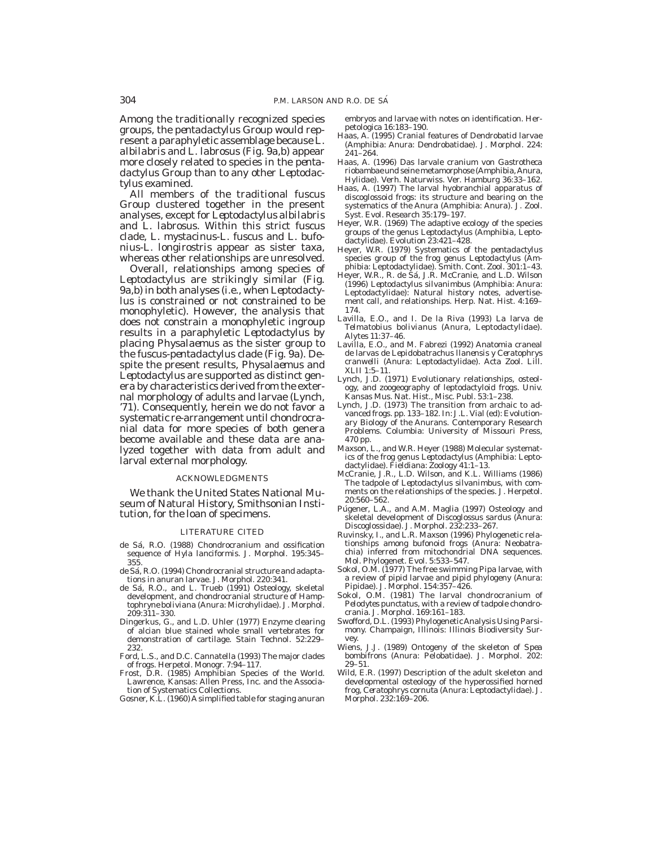Among the traditionally recognized species groups, the *pentadactylus* Group would represent a paraphyletic assemblage because *L. albilabris* and *L. labrosus* (Fig. 9a,b) appear more closely related to species in the *pentadactylus* Group than to any other *Leptodactylus* examined.

All members of the traditional *fuscus* Group clustered together in the present analyses, except for *Leptodactylus albilabris* and *L. labrosus.* Within this strict *fuscus* clade, *L. mystacinus-L. fuscus* and *L. bufonius-L. longirostris* appear as sister taxa, whereas other relationships are unresolved.

Overall, relationships among species of *Leptodactylus* are strikingly similar (Fig. 9a,b) in both analyses (i.e., when *Leptodactylus* is constrained or not constrained to be monophyletic). However, the analysis that does not constrain a monophyletic ingroup results in a paraphyletic *Leptodactylus* by placing *Physalaemus* as the sister group to the *fuscus-pentadactylus* clade (Fig. 9a). Despite the present results, *Physalaemus* and *Leptodactylus* are supported as distinct genera by characteristics derived from the external morphology of adults and larvae (Lynch, '71). Consequently, herein we do not favor a systematic re-arrangement until chondrocranial data for more species of both genera become available and these data are analyzed together with data from adult and larval external morphology.

#### ACKNOWLEDGMENTS

We thank the United States National Museum of Natural History, Smithsonian Institution, for the loan of specimens.

#### LITERATURE CITED

- de Sá, R.O. (1988) Chondrocranium and ossification sequence of *Hyla lanciformis.* J. Morphol. *195:*345– 355.
- de Sá, R.O. (1994) Chondrocranial structure and adaptations in anuran larvae. J. Morphol. *220:*341.
- de Sa´, R.O., and L. Trueb (1991) Osteology, skeletal development, and chondrocranial structure of *Hamptophryne boliviana* (Anura: Microhylidae). J. Morphol. *209:*311–330.
- Dingerkus, G., and L.D. Uhler (1977) Enzyme clearing of alcian blue stained whole small vertebrates for demonstration of cartilage. Stain Technol. *52:*229– 232.
- Ford, L.S., and D.C. Cannatella (1993) The major clades of frogs. Herpetol. Monogr. *7:*94–117.
- Frost, D.R. (1985) Amphibian Species of the World. Lawrence, Kansas: Allen Press, Inc. and the Association of Systematics Collections.
- Gosner, K.L. (1960) A simplified table for staging anuran

embryos and larvae with notes on identification. Herpetologica *16:*183–190.

- Haas, A. (1995) Cranial features of Dendrobatid larvae (Amphibia: Anura: Dendrobatidae). J. Morphol. *224:* 241–264.
- Haas, A. (1996) Das larvale cranium von *Gastrotheca riobambae* und seine metamorphose (Amphibia,Anura, Hylidae). Verh. Naturwiss. Ver. Hamburg *36:*33–162.
- Haas, A. (1997) The larval hyobranchial apparatus of discoglossoid frogs: its structure and bearing on the systematics of the Anura (Amphibia: Anura). J. Zool. Syst. Evol. Research *35:*179–197.
- Heyer, W.R. (1969) The adaptive ecology of the species groups of the genus *Leptodactylus* (Amphibia, Leptodactylidae). Evolution *23:*421–428.
- Heyer, W.R. (1979) Systematics of the *pentadactylus* species group of the frog genus *Leptodactylus* (Amphibia: Leptodactylidae). Smith. Cont. Zool. *301:*1–43.
- Heyer, W.R., R. de Sá, J.R. McCranie, and L.D. Wilson (1996) *Leptodactylus silvanimbus* (Amphibia: Anura: Leptodactylidae): Natural history notes, advertisement call, and relationships. Herp. Nat. Hist. *4:*169– 174.
- Lavilla, E.O., and I. De la Riva (1993) La larva de *Telmatobius bolivianus* (Anura, Leptodactylidae). Alytes *11:*37–46.
- Lavilla, E.O., and M. Fabrezi (1992) Anatomia craneal de larvas de *Lepidobatrachus llanensis y Ceratophrys cranwelli* (Anura: Leptodactylidae). Acta Zool. Lill. XLII *1:*5–11.
- Lynch, J.D. (1971) Evolutionary relationships, osteology, and zoogeography of leptodactyloid frogs. Univ. Kansas Mus. Nat. Hist., Misc. Publ. *53:*1–238.
- Lynch, J.D. (1973) The transition from archaic to advanced frogs. pp. 133–182. In: J.L. Vial (ed): Evolutionary Biology of the Anurans. Contemporary Research Problems. Columbia: University of Missouri Press, 470 pp.
- Maxson, L., and W.R. Heyer (1988) Molecular systematics of the frog genus *Leptodactylus* (Amphibia: Leptodactylidae). Fieldiana: Zoology *41:*1–13.
- McCranie, J.R., L.D. Wilson, and K.L. Williams (1986) The tadpole of *Leptodactylus silvanimbus,* with comments on the relationships of the species. J. Herpetol. *20:*560–562.
- Púgener, L.A., and A.M. Maglia (1997) Osteology and skeletal development of *Discoglossus sardus* (Anura: Discoglossidae). J. Morphol. *232:*233–267.
- Ruvinsky, I., and L.R. Maxson (1996) Phylogenetic relationships among bufonoid frogs (Anura: Neobatrachia) inferred from mitochondrial DNA sequences. Mol. Phylogenet. Evol. *5:*533–547.
- Sokol, O.M. (1977) The free swimming *Pipa* larvae, with a review of pipid larvae and pipid phylogeny (Anura: Pipidae). J. Morphol. *154:*357–426.
- Sokol, O.M. (1981) The larval chondrocranium of *Pelodytes punctatus,* with a review of tadpole chondrocrania. J. Morphol. *169:*161–183.
- Swofford, D.L. (1993) PhylogeneticAnalysis Using Parsimony. Champaign, Illinois: Illinois Biodiversity Survey.
- Wiens, J.J. (1989) Ontogeny of the skeleton of *Spea bombifrons* (Anura: Pelobatidae). J. Morphol. *202:* 29–51.
- Wild, E.R. (1997) Description of the adult skeleton and developmental osteology of the hyperossified horned frog, *Ceratophrys cornuta* (Anura: Leptodactylidae). J. Morphol. *232:*169–206.